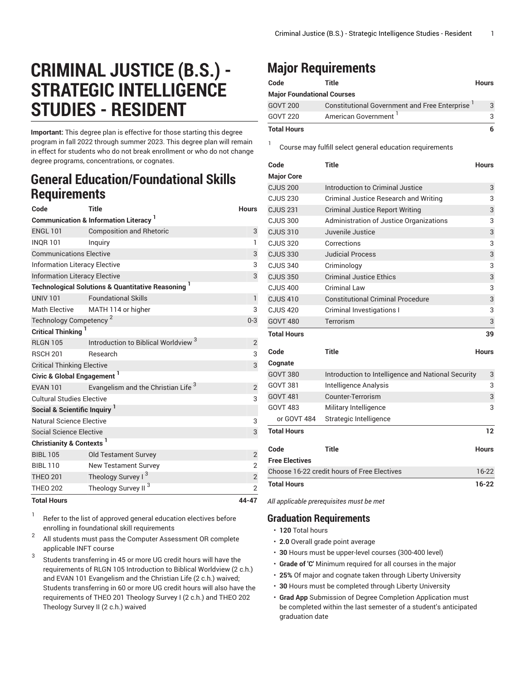# **CRIMINAL JUSTICE (B.S.) - STRATEGIC INTELLIGENCE STUDIES - RESIDENT**

**Important:** This degree plan is effective for those starting this degree program in fall 2022 through summer 2023. This degree plan will remain in effect for students who do not break enrollment or who do not change degree programs, concentrations, or cognates.

### **General Education/Foundational Skills Requirements**

| Code                                            | <b>Title</b>                                                  | <b>Hours</b>   |  |  |
|-------------------------------------------------|---------------------------------------------------------------|----------------|--|--|
| <b>Communication &amp; Information Literacy</b> |                                                               |                |  |  |
| <b>ENGL 101</b>                                 | <b>Composition and Rhetoric</b>                               | 3              |  |  |
| <b>INQR101</b>                                  | Inquiry                                                       | $\mathbf{1}$   |  |  |
| <b>Communications Elective</b>                  | 3                                                             |                |  |  |
| <b>Information Literacy Elective</b>            |                                                               |                |  |  |
| <b>Information Literacy Elective</b>            | 3                                                             |                |  |  |
|                                                 | <b>Technological Solutions &amp; Quantitative Reasoning 1</b> |                |  |  |
| <b>UNIV 101</b>                                 | <b>Foundational Skills</b>                                    | $\mathbf{1}$   |  |  |
| <b>Math Elective</b>                            | MATH 114 or higher                                            | 3              |  |  |
| Technology Competency <sup>2</sup>              | $0 - 3$                                                       |                |  |  |
| <b>Critical Thinking</b>                        |                                                               |                |  |  |
| <b>RI GN 105</b>                                | Introduction to Biblical Worldview <sup>3</sup>               | 2              |  |  |
| <b>RSCH 201</b>                                 | Research                                                      | 3              |  |  |
| <b>Critical Thinking Elective</b>               |                                                               |                |  |  |
| Civic & Global Engagement <sup>1</sup>          |                                                               |                |  |  |
| <b>EVAN 101</b>                                 | Evangelism and the Christian Life <sup>3</sup>                | $\overline{2}$ |  |  |
| <b>Cultural Studies Elective</b>                |                                                               |                |  |  |
| Social & Scientific Inquiry <sup>1</sup>        |                                                               |                |  |  |
| Natural Science Elective                        |                                                               | 3              |  |  |
| Social Science Elective                         |                                                               | 3              |  |  |
| Christianity & Contexts <sup>1</sup>            |                                                               |                |  |  |
| <b>BIBL 105</b>                                 | <b>Old Testament Survey</b>                                   | $\overline{2}$ |  |  |
| <b>BIBL 110</b>                                 | <b>New Testament Survey</b>                                   | 2              |  |  |
| <b>THEO 201</b>                                 | Theology Survey I <sup>3</sup>                                | $\overline{2}$ |  |  |
| <b>THEO 202</b>                                 | Theology Survey II <sup>3</sup>                               | $\overline{2}$ |  |  |
| <b>Total Hours</b>                              |                                                               | 44-47          |  |  |

1 Refer to the list of approved general [education](https://www.liberty.edu/gened/) electives before enrolling in foundational skill requirements

2 All students must pass the [Computer Assessment](https://www.liberty.edu/computerassessment/) OR complete applicable INFT course

3 Students transferring in 45 or more UG credit hours will have the requirements of RLGN 105 Introduction to Biblical Worldview (2 c.h.) and EVAN 101 Evangelism and the Christian Life (2 c.h.) waived; Students transferring in 60 or more UG credit hours will also have the requirements of THEO 201 Theology Survey I (2 c.h.) and THEO 202 Theology Survey II (2 c.h.) waived

## **Major Requirements**

1

| Code                              | Title                                         | <b>Hours</b> |
|-----------------------------------|-----------------------------------------------|--------------|
| <b>Major Foundational Courses</b> |                                               |              |
| <b>GOVT 200</b>                   | Constitutional Government and Free Enterprise | 3            |
| <b>GOVT 220</b>                   | American Government <sup>1</sup>              | 3            |
| <b>Total Hours</b>                |                                               | 6            |

Course may fulfill select general education [requirements](http://www.liberty.edu/academics/generalstudies/?PID=37563)

| Code                  | <b>Title</b>                                       | <b>Hours</b> |
|-----------------------|----------------------------------------------------|--------------|
| <b>Major Core</b>     |                                                    |              |
| <b>CJUS 200</b>       | Introduction to Criminal Justice                   | 3            |
| <b>CJUS 230</b>       | Criminal Justice Research and Writing              | 3            |
| <b>CJUS 231</b>       | <b>Criminal Justice Report Writing</b>             | 3            |
| <b>CJUS 300</b>       | Administration of Justice Organizations            | 3            |
| <b>CJUS 310</b>       | Juvenile Justice                                   | 3            |
| <b>CJUS 320</b>       | Corrections                                        | 3            |
| <b>CJUS 330</b>       | <b>Judicial Process</b>                            | 3            |
| <b>CJUS 340</b>       | Criminology                                        | 3            |
| <b>CJUS 350</b>       | <b>Criminal Justice Ethics</b>                     | 3            |
| <b>CJUS 400</b>       | Criminal Law                                       | 3            |
| <b>CJUS 410</b>       | <b>Constitutional Criminal Procedure</b>           | 3            |
| <b>CJUS 420</b>       | Criminal Investigations I                          | 3            |
| <b>GOVT 480</b>       | Terrorism                                          | 3            |
| <b>Total Hours</b>    |                                                    | 39           |
| Code                  | <b>Title</b>                                       | <b>Hours</b> |
| Cognate               |                                                    |              |
| <b>GOVT 380</b>       | Introduction to Intelligence and National Security | 3            |
| <b>GOVT 381</b>       | Intelligence Analysis                              | 3            |
| <b>GOVT 481</b>       | Counter-Terrorism                                  | 3            |
| <b>GOVT 483</b>       | Military Intelligence                              | 3            |
| or GOVT 484           | Strategic Intelligence                             |              |
| <b>Total Hours</b>    |                                                    | 12           |
| Code                  | <b>Title</b>                                       | <b>Hours</b> |
| <b>Free Electives</b> |                                                    |              |
|                       |                                                    |              |
|                       | Choose 16-22 credit hours of Free Electives        | $16-22$      |

*All applicable prerequisites must be met*

### **Graduation Requirements**

- **120** Total hours
- **2.0** Overall grade point average
- **30** Hours must be upper-level courses (300-400 level)
- **Grade of 'C'** Minimum required for all courses in the major
- **25%** Of major and cognate taken through Liberty University
- **30** Hours must be completed through Liberty University
- **Grad App** Submission of Degree Completion Application must be completed within the last semester of a student's anticipated graduation date